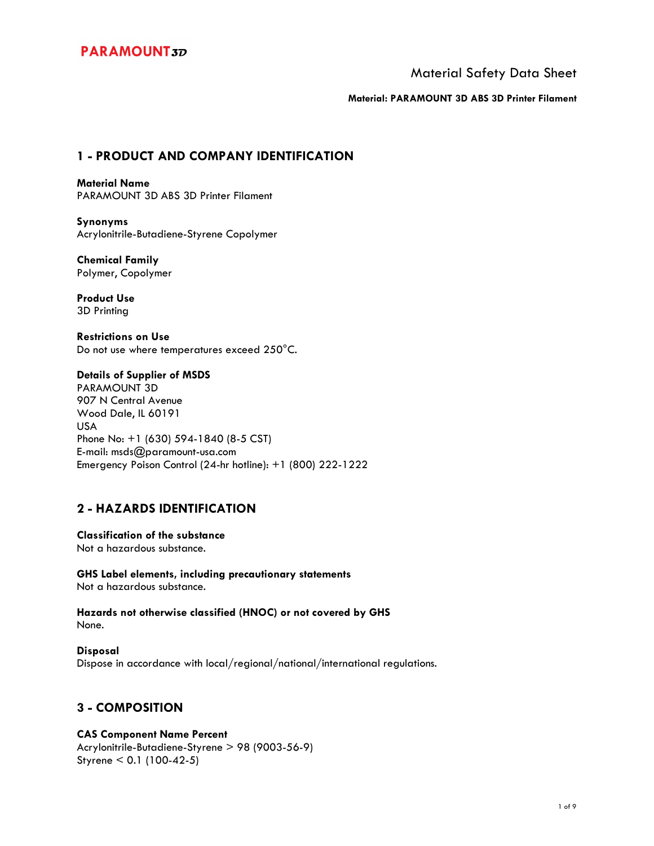Material Safety Data Sheet

**Material: PARAMOUNT 3D ABS 3D Printer Filament**

## **1 - PRODUCT AND COMPANY IDENTIFICATION**

**Material Name**  PARAMOUNT 3D ABS 3D Printer Filament

**Synonyms**  Acrylonitrile-Butadiene-Styrene Copolymer

**Chemical Family**  Polymer, Copolymer

**Product Use**  3D Printing

**Restrictions on Use**  Do not use where temperatures exceed 250°C.

### **Details of Supplier of MSDS**

PARAMOUNT 3D 907 N Central Avenue Wood Dale, IL 60191 USA Phone No: +1 (630) 594-1840 (8-5 CST) E-mail: msds@paramount-usa.com Emergency Poison Control (24-hr hotline): +1 (800) 222-1222

## **2 - HAZARDS IDENTIFICATION**

**Classification of the substance**  Not a hazardous substance.

**GHS Label elements, including precautionary statements**  Not a hazardous substance.

**Hazards not otherwise classified (HNOC) or not covered by GHS**  None.

**Disposal**  Dispose in accordance with local/regional/national/international regulations.

## **3 - COMPOSITION**

### **CAS Component Name Percent**

Acrylonitrile-Butadiene-Styrene > 98 (9003-56-9) Styrene < 0.1 (100-42-5)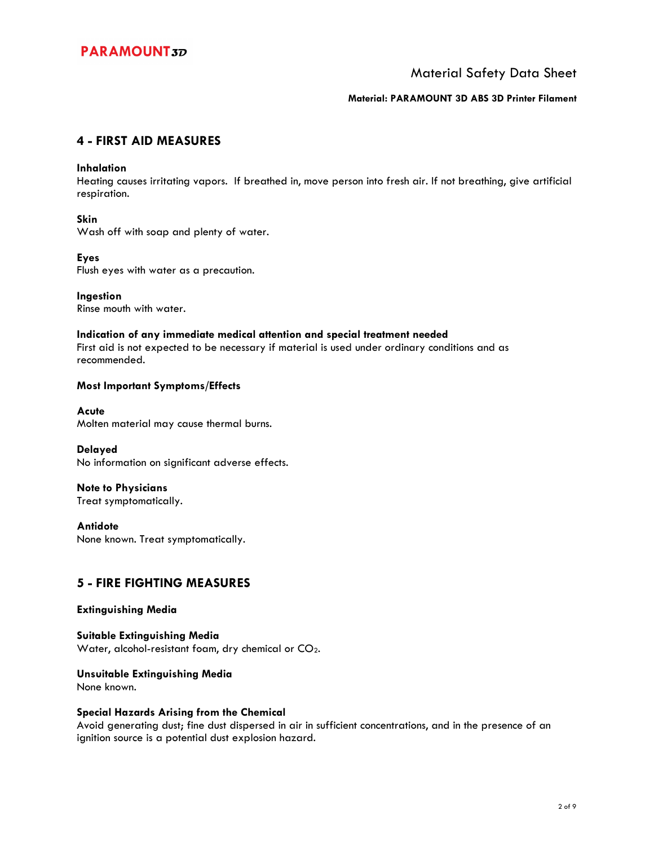### Material Safety Data Sheet

#### **Material: PARAMOUNT 3D ABS 3D Printer Filament**

### **4 - FIRST AID MEASURES**

#### **Inhalation**

Heating causes irritating vapors. If breathed in, move person into fresh air. If not breathing, give artificial respiration.

#### **Skin**

Wash off with soap and plenty of water.

### **Eyes**

Flush eyes with water as a precaution.

**Ingestion**  Rinse mouth with water.

#### **Indication of any immediate medical attention and special treatment needed**

First aid is not expected to be necessary if material is used under ordinary conditions and as recommended.

### **Most Important Symptoms/Effects**

**Acute**  Molten material may cause thermal burns.

**Delayed**  No information on significant adverse effects.

**Note to Physicians**  Treat symptomatically.

**Antidote**  None known. Treat symptomatically.

### **5 - FIRE FIGHTING MEASURES**

#### **Extinguishing Media**

**Suitable Extinguishing Media**  Water, alcohol-resistant foam, dry chemical or CO2.

#### **Unsuitable Extinguishing Media**

None known.

#### **Special Hazards Arising from the Chemical**

Avoid generating dust; fine dust dispersed in air in sufficient concentrations, and in the presence of an ignition source is a potential dust explosion hazard.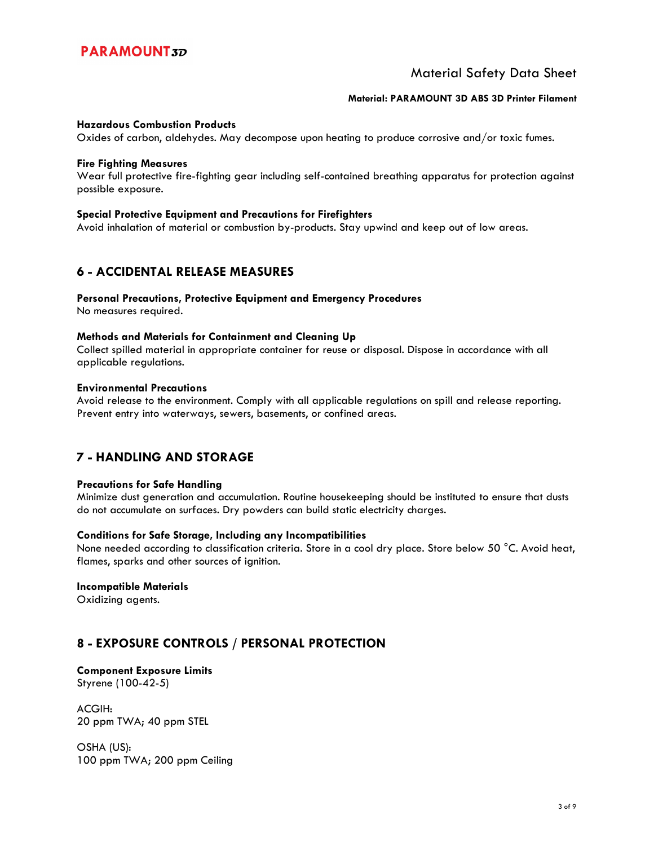### Material Safety Data Sheet

#### **Material: PARAMOUNT 3D ABS 3D Printer Filament**

#### **Hazardous Combustion Products**

Oxides of carbon, aldehydes. May decompose upon heating to produce corrosive and/or toxic fumes.

#### **Fire Fighting Measures**

Wear full protective fire-fighting gear including self-contained breathing apparatus for protection against possible exposure.

#### **Special Protective Equipment and Precautions for Firefighters**

Avoid inhalation of material or combustion by-products. Stay upwind and keep out of low areas.

### **6 - ACCIDENTAL RELEASE MEASURES**

### **Personal Precautions, Protective Equipment and Emergency Procedures**

No measures required.

#### **Methods and Materials for Containment and Cleaning Up**

Collect spilled material in appropriate container for reuse or disposal. Dispose in accordance with all applicable regulations.

#### **Environmental Precautions**

Avoid release to the environment. Comply with all applicable regulations on spill and release reporting. Prevent entry into waterways, sewers, basements, or confined areas.

### **7 - HANDLING AND STORAGE**

#### **Precautions for Safe Handling**

Minimize dust generation and accumulation. Routine housekeeping should be instituted to ensure that dusts do not accumulate on surfaces. Dry powders can build static electricity charges.

#### **Conditions for Safe Storage, Including any Incompatibilities**

None needed according to classification criteria. Store in a cool dry place. Store below 50 °C. Avoid heat, flames, sparks and other sources of ignition.

#### **Incompatible Materials**

Oxidizing agents.

## **8 - EXPOSURE CONTROLS / PERSONAL PROTECTION**

# **Component Exposure Limits**

Styrene (100-42-5)

ACGIH: 20 ppm TWA; 40 ppm STEL

OSHA (US): 100 ppm TWA; 200 ppm Ceiling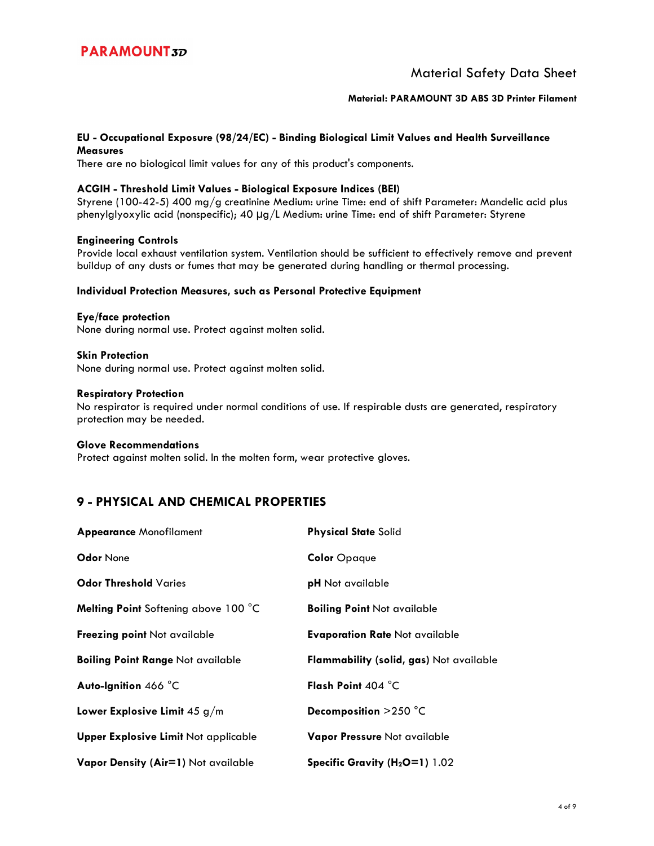### Material Safety Data Sheet

#### **Material: PARAMOUNT 3D ABS 3D Printer Filament**

#### **EU - Occupational Exposure (98/24/EC) - Binding Biological Limit Values and Health Surveillance Measures**

There are no biological limit values for any of this product's components.

#### **ACGIH - Threshold Limit Values - Biological Exposure Indices (BEI)**

Styrene (100-42-5) 400 mg/g creatinine Medium: urine Time: end of shift Parameter: Mandelic acid plus phenylglyoxylic acid (nonspecific); 40 µg/L Medium: urine Time: end of shift Parameter: Styrene

#### **Engineering Controls**

Provide local exhaust ventilation system. Ventilation should be sufficient to effectively remove and prevent buildup of any dusts or fumes that may be generated during handling or thermal processing.

#### **Individual Protection Measures, such as Personal Protective Equipment**

**Eye/face protection**  None during normal use. Protect against molten solid.

**Skin Protection**  None during normal use. Protect against molten solid.

#### **Respiratory Protection**

No respirator is required under normal conditions of use. If respirable dusts are generated, respiratory protection may be needed.

#### **Glove Recommendations**

Protect against molten solid. In the molten form, wear protective gloves.

## **9 - PHYSICAL AND CHEMICAL PROPERTIES**

| <b>Appearance Monofilament</b>              | <b>Physical State Solid</b>                |
|---------------------------------------------|--------------------------------------------|
| <b>Odor None</b>                            | <b>Color Opaque</b>                        |
| <b>Odor Threshold Varies</b>                | <b>pH</b> Not available                    |
| Melting Point Softening above 100 °C        | <b>Boiling Point Not available</b>         |
| Freezing point Not available                | <b>Evaporation Rate Not available</b>      |
| <b>Boiling Point Range Not available</b>    | Flammability (solid, gas) Not available    |
| Auto-Ignition 466 °C                        | Flash Point 404 °C                         |
| Lower Explosive Limit $45 g/m$              | Decomposition >250 °C                      |
| <b>Upper Explosive Limit Not applicable</b> | Vapor Pressure Not available               |
| Vapor Density (Air=1) Not available         | Specific Gravity (H <sub>2</sub> O=1) 1.02 |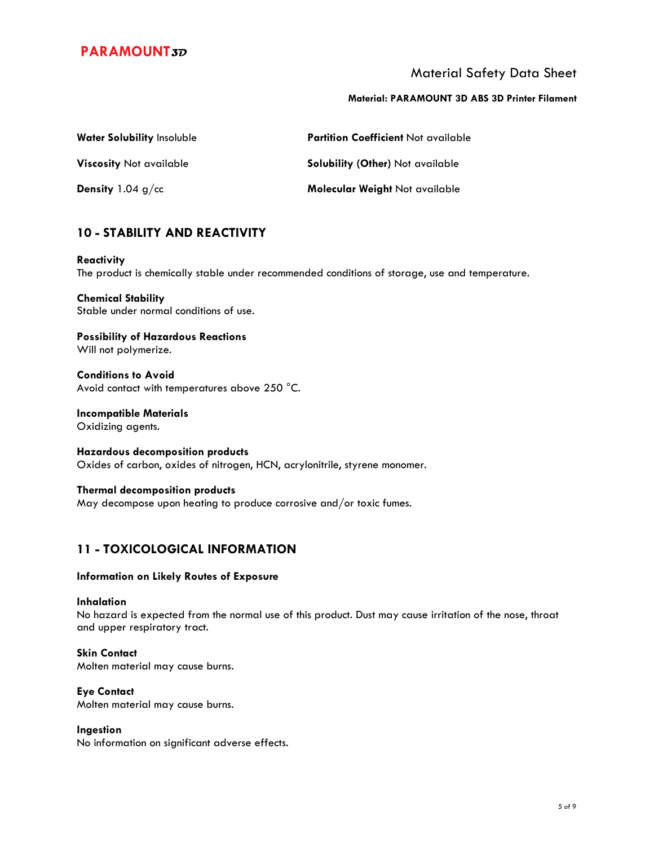### Material Safety Data Sheet

#### **Material: PARAMOUNT 3D ABS 3D Printer Filament**

| Water Solubility Insoluble     | <b>Partition Coefficient Not available</b> |
|--------------------------------|--------------------------------------------|
| <b>Viscosity Not available</b> | <b>Solubility (Other)</b> Not available    |
| <b>Density</b> 1.04 $g$ /cc    | Molecular Weight Not available             |

## **10 - STABILITY AND REACTIVITY**

## **Reactivity**

The product is chemically stable under recommended conditions of storage, use and temperature.

**Chemical Stability**  Stable under normal conditions of use.

**Possibility of Hazardous Reactions**  Will not polymerize.

**Conditions to Avoid**  Avoid contact with temperatures above 250 °C.

**Incompatible Materials**  Oxidizing agents.

**Hazardous decomposition products**  Oxides of carbon, oxides of nitrogen, HCN, acrylonitrile, styrene monomer.

**Thermal decomposition products**  May decompose upon heating to produce corrosive and/or toxic fumes.

## **11 - TOXICOLOGICAL INFORMATION**

#### **Information on Likely Routes of Exposure**

#### **Inhalation**

No hazard is expected from the normal use of this product. Dust may cause irritation of the nose, throat and upper respiratory tract.

#### **Skin Contact**

Molten material may cause burns.

#### **Eye Contact**

Molten material may cause burns.

#### **Ingestion**

No information on significant adverse effects.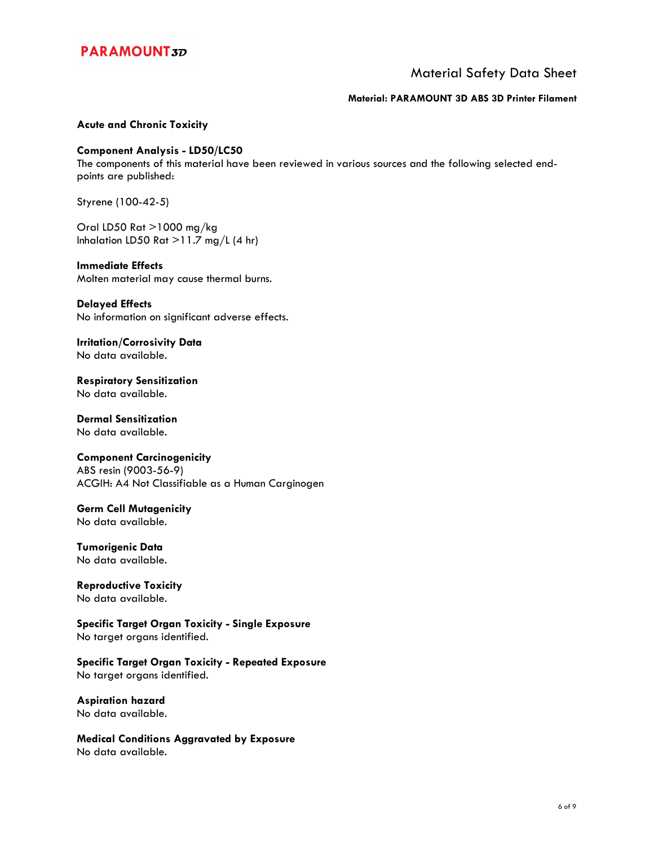### Material Safety Data Sheet

#### **Material: PARAMOUNT 3D ABS 3D Printer Filament**

#### **Acute and Chronic Toxicity**

#### **Component Analysis - LD50/LC50**

The components of this material have been reviewed in various sources and the following selected endpoints are published:

Styrene (100-42-5)

Oral LD50 Rat >1000 mg/kg Inhalation LD50 Rat  $>11.7$  mg/L (4 hr)

#### **Immediate Effects**

Molten material may cause thermal burns.

#### **Delayed Effects**

No information on significant adverse effects.

**Irritation/Corrosivity Data**  No data available.

**Respiratory Sensitization**  No data available.

**Dermal Sensitization**  No data available.

#### **Component Carcinogenicity**

ABS resin (9003-56-9) ACGIH: A4 Not Classifiable as a Human Carginogen

#### **Germ Cell Mutagenicity**

No data available.

#### **Tumorigenic Data**  No data available.

**Reproductive Toxicity**  No data available.

**Specific Target Organ Toxicity - Single Exposure**  No target organs identified.

**Specific Target Organ Toxicity - Repeated Exposure**  No target organs identified.

**Aspiration hazard**  No data available.

**Medical Conditions Aggravated by Exposure**  No data available.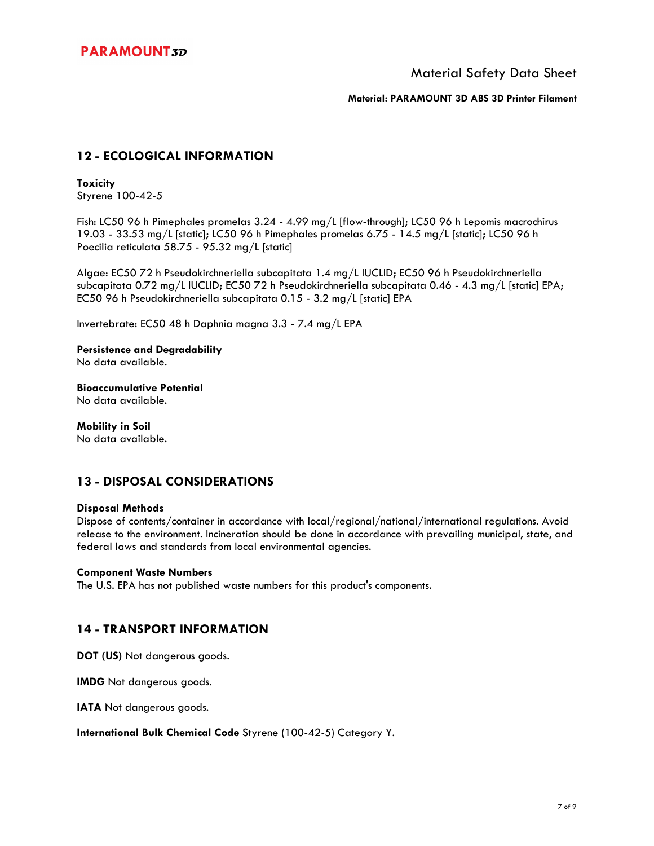Material Safety Data Sheet

**Material: PARAMOUNT 3D ABS 3D Printer Filament**

## **12 - ECOLOGICAL INFORMATION**

### **Toxicity**

Styrene 100-42-5

Fish: LC50 96 h Pimephales promelas 3.24 - 4.99 mg/L [flow-through]; LC50 96 h Lepomis macrochirus 19.03 - 33.53 mg/L [static]; LC50 96 h Pimephales promelas 6.75 - 14.5 mg/L [static]; LC50 96 h Poecilia reticulata 58.75 - 95.32 mg/L [static]

Algae: EC50 72 h Pseudokirchneriella subcapitata 1.4 mg/L IUCLID; EC50 96 h Pseudokirchneriella subcapitata 0.72 mg/L IUCLID; EC50 72 h Pseudokirchneriella subcapitata 0.46 - 4.3 mg/L [static] EPA; EC50 96 h Pseudokirchneriella subcapitata 0.15 - 3.2 mg/L [static] EPA

Invertebrate: EC50 48 h Daphnia magna 3.3 - 7.4 mg/L EPA

### **Persistence and Degradability**

No data available.

## **Bioaccumulative Potential**

No data available.

### **Mobility in Soil**

No data available.

## **13 - DISPOSAL CONSIDERATIONS**

#### **Disposal Methods**

Dispose of contents/container in accordance with local/regional/national/international regulations. Avoid release to the environment. Incineration should be done in accordance with prevailing municipal, state, and federal laws and standards from local environmental agencies.

#### **Component Waste Numbers**

The U.S. EPA has not published waste numbers for this product's components.

### **14 - TRANSPORT INFORMATION**

**DOT (US)** Not dangerous goods.

**IMDG** Not dangerous goods.

**IATA** Not dangerous goods.

**International Bulk Chemical Code** Styrene (100-42-5) Category Y.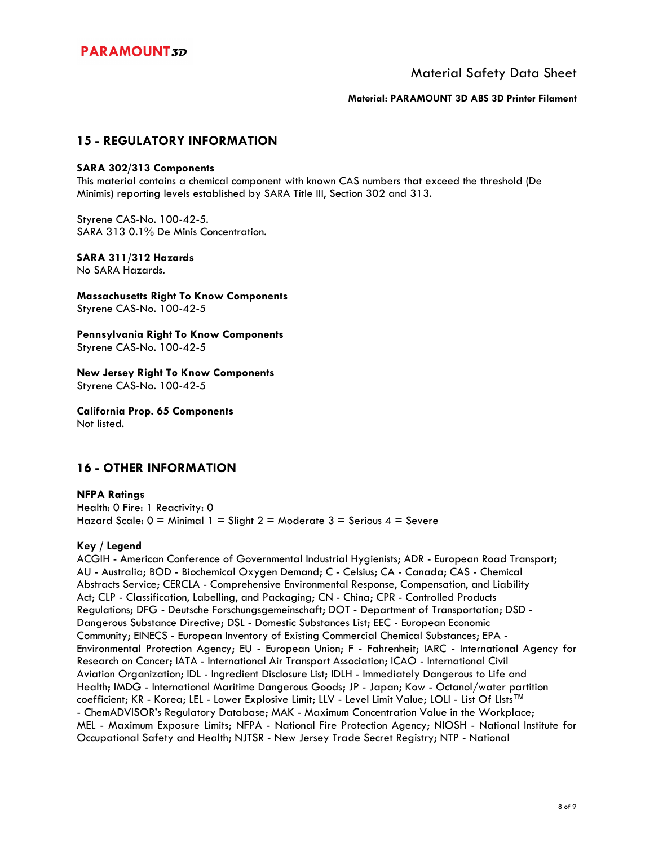Material Safety Data Sheet

**Material: PARAMOUNT 3D ABS 3D Printer Filament**

### **15 - REGULATORY INFORMATION**

#### **SARA 302/313 Components**

This material contains a chemical component with known CAS numbers that exceed the threshold (De Minimis) reporting levels established by SARA Title III, Section 302 and 313.

Styrene CAS-No. 100-42-5. SARA 313 0.1% De Minis Concentration.

### **SARA 311/312 Hazards**

No SARA Hazards.

**Massachusetts Right To Know Components**  Styrene CAS-No. 100-42-5

**Pennsylvania Right To Know Components**  Styrene CAS-No. 100-42-5

**New Jersey Right To Know Components**  Styrene CAS-No. 100-42-5

**California Prop. 65 Components**  Not listed.

### **16 - OTHER INFORMATION**

#### **NFPA Ratings**  Health: 0 Fire: 1 Reactivity: 0 Hazard Scale:  $0 =$  Minimal 1 = Slight 2 = Moderate 3 = Serious 4 = Severe

### **Key / Legend**

ACGIH - American Conference of Governmental Industrial Hygienists; ADR - European Road Transport; AU - Australia; BOD - Biochemical Oxygen Demand; C - Celsius; CA - Canada; CAS - Chemical Abstracts Service; CERCLA - Comprehensive Environmental Response, Compensation, and Liability Act; CLP - Classification, Labelling, and Packaging; CN - China; CPR - Controlled Products Regulations; DFG - Deutsche Forschungsgemeinschaft; DOT - Department of Transportation; DSD - Dangerous Substance Directive; DSL - Domestic Substances List; EEC - European Economic Community; EINECS - European Inventory of Existing Commercial Chemical Substances; EPA - Environmental Protection Agency; EU - European Union; F - Fahrenheit; IARC - International Agency for Research on Cancer; IATA - International Air Transport Association; ICAO - International Civil Aviation Organization; IDL - Ingredient Disclosure List; IDLH - Immediately Dangerous to Life and Health; IMDG - International Maritime Dangerous Goods; JP - Japan; Kow - Octanol/water partition coefficient; KR - Korea; LEL - Lower Explosive Limit; LLV - Level Limit Value; LOLI - List Of LIsts™ - ChemADVISOR's Regulatory Database; MAK - Maximum Concentration Value in the Workplace; MEL - Maximum Exposure Limits; NFPA - National Fire Protection Agency; NIOSH - National Institute for Occupational Safety and Health; NJTSR - New Jersey Trade Secret Registry; NTP - National